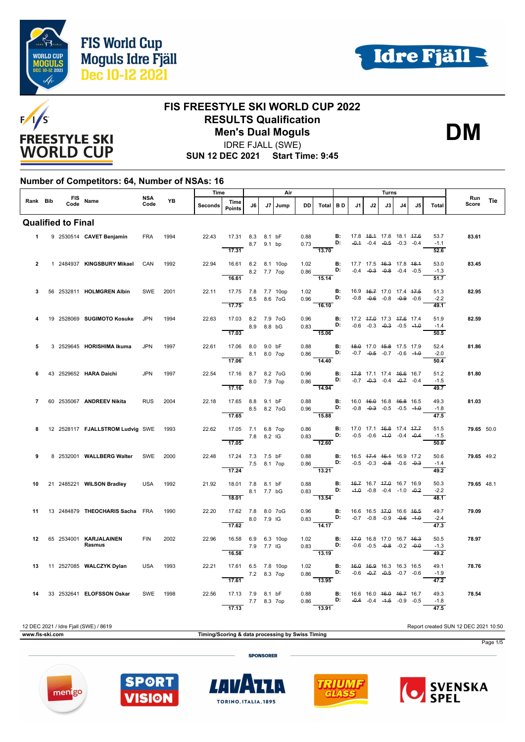



**DM**



#### **FIS FREESTYLE SKI WORLD CUP 2022 RESULTS Qualification Men's Dual Moguls**

IDRE FJALL (SWE)

**SUN 12 DEC 2021 Start Time: 9:45**

#### **Number of Competitors: 64, Number of NSAs: 16**

|                |  |                           |                                               | Time               |           | Air     |                                                           |    |              |      |           |                                                                                                                                | Turns                              |                                                |    |     |                                                                           |    |                                     |              |     |
|----------------|--|---------------------------|-----------------------------------------------|--------------------|-----------|---------|-----------------------------------------------------------|----|--------------|------|-----------|--------------------------------------------------------------------------------------------------------------------------------|------------------------------------|------------------------------------------------|----|-----|---------------------------------------------------------------------------|----|-------------------------------------|--------------|-----|
| Rank Bib       |  |                           | FIS Name                                      | <b>NSA</b><br>Code | <b>YB</b> | Seconds | Time<br><b>Points</b>                                     | J6 | J7           | Jump | <b>DD</b> | Total BD                                                                                                                       |                                    | J1                                             | J2 | .13 | J4                                                                        | J5 | <b>Total</b>                        | Run<br>Score | Tie |
|                |  | <b>Qualified to Final</b> |                                               |                    |           |         |                                                           |    |              |      |           |                                                                                                                                |                                    |                                                |    |     |                                                                           |    |                                     |              |     |
|                |  |                           | 1 9 2530514 CAVET Benjamin                    | <b>FRA</b>         | 1994      | 22.43   | 17.31 8.3 8.1 bF<br>$\overline{17.31}$                    |    | 8.7 9.1 bp   |      |           | 0.88 <b>B:</b> 17.8 48.4 17.8 18.1 47.6<br>$0.73$ D: $-0.4$ $-0.4$ $-0.5$ $-0.3$ $-0.4$<br>$\overline{13.70}$                  |                                    |                                                |    |     |                                                                           |    | 53.7<br>$-1.1$<br>52.6              | 83.61        |     |
| $\overline{2}$ |  |                           | 1 2484937 KINGSBURY Mikael                    | CAN                | 1992      | 22.94   | 16.61 8.2 8.1 10op<br>16.61                               |    | 8.2 7.7 7op  |      |           | 1.02 <b>B:</b><br>0.86 <b>D:</b><br>$\frac{1}{15.14}$                                                                          |                                    | 17.7 17.5 46.3 17.8 48.4                       |    |     | $-0.4$ $-0.3$ $-0.8$ $-0.4$ $-0.5$                                        |    | 53.0<br>$-1.3$<br>$\frac{1}{51.7}$  | 83.45        |     |
| 3              |  |                           | 56 2532811 HOLMGREN Albin                     | SWE                | 2001      | 22.11   | 17.75 7.8 7.7 10op<br>8.5 8.6 7 o G<br>$\overline{17.75}$ |    |              |      | 1.02      | 0.96 <b>D:</b> $-0.8$ $-0.6$ $-0.8$ $-0.8$ $-0.9$ $-0.6$<br>16.10                                                              | $\overline{\mathbf{B}}$            | 16.9    46.7    17.0    17.4    47.5           |    |     |                                                                           |    | 51.3<br>$-2.2$<br>49.1              | 82.95        |     |
| 4              |  |                           | 19 2528069 SUGIMOTO Kosuke                    | <b>JPN</b>         | 1994      | 22.63   | 17.03 8.2 7.9 7oG<br>17.03                                |    | 8.9 8.8 bG   |      | 0.96      | $0.83$ D:<br>15.06                                                                                                             | <b>B:</b>                          | 17.2 47.0 17.3 47.6 17.4                       |    |     | $-0.6$ $-0.3$ $-0.3$ $-0.5$ $-4.0$                                        |    | 51.9<br>$-1.4$<br>50.5              | 82.59        |     |
| 5              |  |                           | 3 2529645 HORISHIMA Ikuma                     | <b>JPN</b>         | 1997      | 22.61   | 17.06 8.0 9.0 bF<br>8.1 8.0 7op<br>17.06                  |    |              |      | 0.88      | 0.86 <b>D:</b> -0.7 -0.5 -0.7 -0.6 -1.0<br>$\frac{1}{14.40}$                                                                   | $\blacksquare$                     | 48.0 17.0 45.8 17.5 17.9                       |    |     |                                                                           |    | 52.4<br>$-2.0$<br>50.4              | 81.86        |     |
| 6              |  |                           | 43 2529652 HARA Daichi                        | <b>JPN</b>         | 1997      | 22.54   | 17.16 8.7 8.2 7oG<br>8.0 7.9 7op<br>17.16                 |    |              |      |           | 0.96 <b>B:</b> 47.8 17.1 17.4 46.6 16.7<br>0.86 <b>B:</b> -0.7 -0.3 -0.4 -0.7 -0.4<br>$\frac{1}{14.94}$                        |                                    |                                                |    |     |                                                                           |    | 51.2<br>$-1.5$<br>49.7              | 81.80        |     |
|                |  |                           | 7 60 2535067 ANDREEV Nikita                   | <b>RUS</b>         | 2004      | 22.18   | 17.65 8.8 9.1 bF<br>17.65                                 |    | 8.5 8.2 7 oG |      |           | 0.88 <b>B:</b><br>0.96 <b>D:</b><br>15.88                                                                                      |                                    | 16.0 <del>16.0</del> 16.8 <del>16.8</del> 16.5 |    |     | $-0.8$ $-0.3$ $-0.5$ $-0.5$ $-1.0$                                        |    | 49.3<br>$-1.8$<br>47.5              | 81.03        |     |
| 8              |  |                           | 12  2528117 <b>FJALLSTROM Ludvig SWE</b> 1993 |                    |           | 22.62   | 17.05 7.1 6.8 7op<br>$7.8$ 8.2 IG<br>17.05                |    |              |      | 0.86      | 12.60                                                                                                                          | <b>B:</b> 17.0 17.1 46.8 17.4 47.7 |                                                |    |     |                                                                           |    | 51.5<br>$-1.5$<br>50.0              | 79.65 50.0   |     |
| 9              |  |                           | 8 2532001 WALLBERG Walter SWE                 |                    | 2000      | 22.48   | 17.24 7.3 7.5 bF<br>7.5 8.1 7op<br>17.24                  |    |              |      | 0.88      | $0.86$ D:<br>13.21                                                                                                             | B:                                 | 16.5 47.4 46.4 16.9 17.2                       |    |     | $-0.5$ $-0.3$ $-0.8$ $-0.6$ $-0.3$                                        |    | 50.6<br>$-1.4$<br>49.2              | 79.65 49.2   |     |
| 10             |  |                           | 21 2485221 WILSON Bradley                     | USA                | 1992      | 21.92   | 18.01 7.8 8.1 bF<br>8.1 7.7 bG<br>18.01                   |    |              |      |           | $0.88$ B:<br>$0.83$ D:<br>$\frac{0.22}{13.54}$                                                                                 |                                    | 46.7 16.7 47.0 16.7 16.9                       |    |     | $-4.0$ $-0.8$ $-0.4$ $-1.0$ $-0.2$                                        |    | 50.3<br>$-2.2$<br>48.1              | 79.65 48.1   |     |
| 11             |  |                           | 13 2484879 THEOCHARIS Sacha FRA               |                    | 1990      | 22.20   | 17.62 7.8 8.0 7oG<br>8.0 7.9 IG<br>17.62                  |    |              |      |           | 0.96<br><b>B:</b> 16.6 16.5 <del>17.0</del> 16.6 <del>16.5</del><br>0.83<br><b>D:</b> -0.7 -0.8 -0.9 -0.6 -1.0<br><b>14.17</b> |                                    |                                                |    |     |                                                                           |    | 49.7<br>$-2.4$<br>$\overline{47.3}$ | 79.09        |     |
|                |  |                           | 12 65 2534001 KARJALAINEN<br>Rasmus           | <b>FIN</b>         | 2002      | 22.96   | 16.58 6.9 6.3 10op<br>7.9 7.7 IG<br>16.58                 |    |              |      |           | 1.02 <b>B:</b><br>0.83 <b>D:</b><br>$\overline{13.19}$                                                                         |                                    | 47.0 16.8 17.0 16.7 46.3                       |    |     | $-0.6$ $-0.5$ $-0.8$ $-0.2$ $-0.0$                                        |    | 50.5<br>$-1.3$<br>49.2              | 78.97        |     |
| 13             |  |                           | 11 2527085 WALCZYK Dylan                      | USA                | 1993      | 22.21   | 17.61 6.5 7.8 10op<br>7.2 8.3 7op<br>$\overline{17.61}$   |    |              |      |           | 1.02 <b>B</b> : 46.0 46.9 16.3 16.3 16.5<br>0.86 <b>D</b> : -0.6 -0.7 -0.5 -0.7 -0.6 -13.95                                    |                                    |                                                |    |     |                                                                           |    | 49.1<br>$-1.9$<br>47.2              | 78.76        |     |
| 14             |  |                           | 33 2532641 ELOFSSON Oskar                     | SWE 1998           |           | 22.56   | 17.13 7.9 8.1 bF<br>17.13                                 |    | 7.7 8.3 7op  |      | 0.88      | $0.86$ D:<br>13.91                                                                                                             | <b>B:</b>                          |                                                |    |     | 16.6 16.0 <del>16.0</del> 16.7 16.7<br>$-0.4$ $-0.4$ $-4.5$ $-0.9$ $-0.5$ |    | 49.3<br>$-1.8$<br>47.5              | 78.54        |     |

12 DEC 2021 / Idre Fjall (SWE) / 8619 Report created SUN 12 DEC 2021 10:50 **www.fis-ski.com Timing/Scoring & data processing by Swiss Timing** Page 1/5 **SPONSORER** 









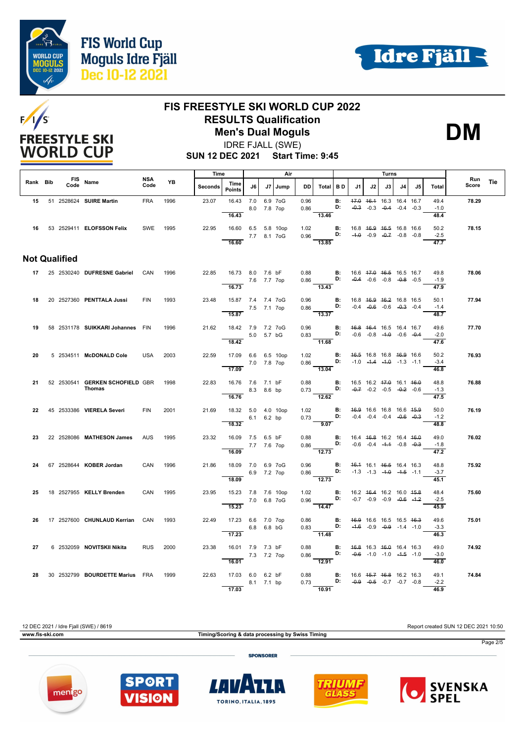





### **FIS FREESTYLE SKI WORLD CUP 2022 RESULTS Qualification Men's Dual Moguls**

IDRE FJALL (SWE)

**DM**

**SUN 12 DEC 2021 Start Time: 9:45**

|          |                      |                                                  | Air<br>Time        |      |         |                                 |              |             | Turns |              |                                                                                                          |                |                                                                          |                                                                |    |                |                                    |                        |                     |     |
|----------|----------------------|--------------------------------------------------|--------------------|------|---------|---------------------------------|--------------|-------------|-------|--------------|----------------------------------------------------------------------------------------------------------|----------------|--------------------------------------------------------------------------|----------------------------------------------------------------|----|----------------|------------------------------------|------------------------|---------------------|-----|
| Rank Bib | Code                 | FIS Name                                         | <b>NSA</b><br>Code | YB   | Seconds | Time<br><b>Points</b>           | J6           | J7          | Jump  | DD.          | Total BD                                                                                                 |                | J1                                                                       | J2                                                             | J3 | J <sub>4</sub> | J5                                 | Total                  | <b>Run</b><br>Score | Tie |
|          |                      | 15 51 2528624 SUIRE Martin                       | <b>FRA</b>         | 1996 | 23.07   | 16.43<br>16.43                  | 7.0 6.9 7oG  | 8.0 7.8 7op |       | 0.96<br>0.86 | 13.46                                                                                                    | B:<br>D:       |                                                                          | 47.0 46.4 16.3 16.4 16.7<br>$-0.3$ $-0.3$ $-0.4$ $-0.4$ $-0.3$ |    |                |                                    | 49.4<br>$-1.0$<br>48.4 | 78.29               |     |
|          |                      | 16 53 2529411 ELOFSSON Felix                     | SWE                | 1995 | 22.95   | 16.60 6.5 5.8 10op              | 7.7 8.1 7 oG |             |       | 1.02         | 0.96 <b>D:</b> $-4.0$ -0.9 $-0.7$ -0.8 -0.8                                                              | <b>B:</b>      | 16.8 46.9 46.5 16.8 16.6                                                 |                                                                |    |                |                                    | 50.2<br>$-2.5$         | 78.15               |     |
|          |                      |                                                  |                    |      |         | 16.60                           |              |             |       |              | 13.85                                                                                                    |                |                                                                          |                                                                |    |                |                                    | 47.7                   |                     |     |
|          | <b>Not Qualified</b> |                                                  |                    |      |         |                                 |              |             |       |              |                                                                                                          |                |                                                                          |                                                                |    |                |                                    |                        |                     |     |
|          |                      | 17 25 2530240 DUFRESNE Gabriel CAN               |                    | 1996 | 22.85   | 16.73 8.0 7.6 bF<br>7.6 7.7 7op |              |             |       |              | 0.88<br>B: $16.6$ 47.0 $46.5$ 16.5 16.7<br>0.86<br>D: $-0.4$ -0.6 -0.8 -0.8 -0.5<br>13.43                |                |                                                                          |                                                                |    |                |                                    | 49.8<br>$-1.9$         | 78.06               |     |
|          |                      |                                                  |                    |      |         | 16.73                           |              |             |       |              |                                                                                                          |                |                                                                          |                                                                |    |                |                                    | 47.9                   |                     |     |
|          |                      | 18 20 2527360 PENTTALA Jussi                     | <b>FIN</b>         | 1993 | 23.48   | 15.87 7.4 7.4 7oG               | 7.5 7.1 7op  |             |       | 0.96         | $0.86$ D:                                                                                                | $\blacksquare$ |                                                                          | 16.8 46.9 46.2 16.8 16.5<br>$-0.4$ $-0.6$ $-0.6$ $-0.3$ $-0.4$ |    |                |                                    | 50.1<br>$-1.4$         | 77.94               |     |
|          |                      |                                                  |                    |      |         | 15.87                           |              |             |       |              | 13.37                                                                                                    |                |                                                                          |                                                                |    |                |                                    | 48.7                   |                     |     |
| 19       |                      | 58 2531178 SUIKKARI Johannes FIN                 |                    | 1996 | 21.62   | 18.42 7.9 7.2 7oG<br>5.0 5.7 bG |              |             |       |              | 0.96<br>0.83 D: -0.6 -0.8 -1.0 -0.6 -0.4                                                                 |                | <b>B:</b> 46.8 46.4 16.5 16.4 16.7                                       |                                                                |    |                |                                    | 49.6<br>$-2.0$         | 77.70               |     |
|          |                      |                                                  |                    |      |         | 18.42                           |              |             |       |              | $\overline{11.68}$                                                                                       |                |                                                                          |                                                                |    |                |                                    | 47.6                   |                     |     |
| 20       |                      | 5 2534511 McDONALD Cole                          | <b>USA</b>         | 2003 | 22.59   | 17.09 6.6 6.5 10op              |              |             |       | 1.02         | $0.86$ D:                                                                                                | B:             |                                                                          | 46.5 16.8 16.8 46.9 16.6                                       |    |                | $-1.0$ $-4.4$ $-4.0$ $-1.3$ $-1.1$ | 50.2<br>$-3.4$         | 76.93               |     |
|          |                      |                                                  |                    |      |         | 7.0 7.8 7op<br>17.09            |              |             |       |              | 13.04                                                                                                    |                |                                                                          |                                                                |    |                |                                    | 46.8                   |                     |     |
| 21       |                      | 52 2530541 GERKEN SCHOFIELD GBR<br><b>Thomas</b> |                    | 1998 | 22.83   | 16.76 7.6 7.1 bF                |              |             |       |              | 0.88 <b>B:</b> 16.5 16.2 <del>17.0</del> 16.1 <del>16.0</del><br>0.73 <b>D:</b> -0.7 -0.2 -0.5 -0.2 -0.6 |                |                                                                          |                                                                |    |                |                                    | 48.8<br>$-1.3$         | 76.88               |     |
|          |                      |                                                  |                    |      |         | 8.3 8.6 bp<br>16.76             |              |             |       |              | $\frac{0.75}{12.62}$                                                                                     |                |                                                                          |                                                                |    |                |                                    | 47.5                   |                     |     |
| 22       |                      | 45 2533386 VIERELA Severi                        | <b>FIN</b>         | 2001 | 21.69   | 18.32 5.0 4.0 10op              |              |             |       | 1.02         | $0.73$ D:                                                                                                | B:             |                                                                          | 46.9 16.6 16.8 16.6 45.9                                       |    |                |                                    | 50.0                   | 76.19               |     |
|          |                      |                                                  |                    |      |         | 18.32                           | 6.1 6.2 bp   |             |       |              | $\overline{9.07}$                                                                                        |                |                                                                          | $-0.4$ $-0.4$ $-0.4$ $-0.6$ $-0.3$                             |    |                |                                    | $-1.2$<br>48.8         |                     |     |
| 23       |                      | 22 2528086 MATHESON James                        | <b>AUS</b>         | 1995 | 23.32   | 16.09 7.5 6.5 bF                |              |             |       | 0.88         |                                                                                                          | B:             | 16.4 46.8 16.2 16.4 46.0                                                 |                                                                |    |                |                                    | 49.0                   | 76.02               |     |
|          |                      |                                                  |                    |      |         | 7.7 7.6 7op                     |              |             |       |              | 0.86                                                                                                     |                | D: $-0.6$ $-0.4$ $-4.4$ $-0.8$ $-0.3$                                    |                                                                |    |                |                                    | $-1.8$                 |                     |     |
|          |                      |                                                  |                    |      |         | 16.09                           |              |             |       |              | $\frac{1}{12.73}$                                                                                        |                |                                                                          |                                                                |    |                |                                    | 47.2                   |                     |     |
| 24       |                      | 67 2528644 KOBER Jordan                          | CAN                | 1996 | 21.86   | 18.09 7.0 6.9 7oG               | 6.9 7.2 7op  |             |       | 0.96<br>0.86 |                                                                                                          | <b>B:</b>      | 46.4 16.1 46.5 16.4 16.3<br><b>D:</b> $-1.3$ $-1.3$ $-4.0$ $-4.5$ $-1.1$ |                                                                |    |                |                                    | 48.8<br>$-3.7$         | 75.92               |     |
|          |                      |                                                  |                    |      |         | 18.09                           |              |             |       |              | $\frac{1}{12.73}$                                                                                        |                |                                                                          |                                                                |    |                |                                    | 45.1                   |                     |     |
| 25       |                      | 18 2527955 KELLY Brenden                         | CAN                | 1995 | 23.95   | 15.23 7.8 7.6 10op              | 7.0 6.8 7oG  |             |       |              | $1.02$ <b>B:</b><br>0.96 <b>D:</b>                                                                       |                | 16.2 46.4 16.2 16.0 45.8                                                 | $-0.7$ $-0.9$ $-0.9$ $-0.6$ $-1.2$                             |    |                |                                    | 48.4<br>$-2.5$         | 75.60               |     |
|          |                      |                                                  |                    |      |         | 15.23                           |              |             |       |              | $rac{0.50}{14.47}$                                                                                       |                |                                                                          |                                                                |    |                |                                    | 45.9                   |                     |     |
| 26       |                      | 17 2527600 CHUNLAUD Kerrian CAN                  |                    | 1993 | 22.49   | 17.23 6.6 7.0 7op               | 6.8 6.8 bG   |             |       |              | 0.86 B: 46.9 16.6 16.5 16.5 46.3<br>$0.83$ D:                                                            |                |                                                                          | $-4.6$ $-0.9$ $-0.9$ $-1.4$ $-1.0$                             |    |                |                                    | 49.6<br>$-3.3$         | 75.01               |     |
|          |                      |                                                  |                    |      |         | $\overline{17.23}$              |              |             |       |              | $\frac{0.05}{11.48}$                                                                                     |                |                                                                          |                                                                |    |                |                                    | 46.3                   |                     |     |
| 27       |                      | 6 2532059 NOVITSKII Nikita                       | <b>RUS</b>         | 2000 | 23.38   | 16.01 7.9 7.3 bF                |              |             |       |              | 0.88 <b>B:</b> 4 <del>6.8</del> 16.3 46.0 16.4 16.3<br>0.86 <b>D:</b> -0.6 -1.0 -1.0 -4.5 -1.0           |                |                                                                          |                                                                |    |                |                                    | 49.0                   | 74.92               |     |
|          |                      |                                                  |                    |      |         | 7.3 7.2 7op<br>16.01            |              |             |       |              | $\frac{1}{12.91}$                                                                                        |                |                                                                          |                                                                |    |                |                                    | $-3.0$<br>46.0         |                     |     |
| 28       |                      | 30 2532799 BOURDETTE Marius FRA                  |                    | 1999 | 22.63   | 17.03 6.0 6.2 bF                |              |             |       | 0.88         |                                                                                                          | $\mathbf{B}$ : | 16.6 4 <del>5.7</del> 46.8 16.2 16.3                                     |                                                                |    |                |                                    | 49.1                   | 74.84               |     |
|          |                      |                                                  |                    |      |         | 8.1 7.1 bp<br>17.03             |              |             |       |              | 0.73 <b>D:</b> $-0.9$ $-0.5$ $-0.7$ $-0.7$ $-0.8$<br>$\overline{10.91}$                                  |                |                                                                          |                                                                |    |                |                                    | $-2.2$<br>46.9         |                     |     |

12 DEC 2021 / Idre Fjall (SWE) / 8619 Report created SUN 12 DEC 2021 10:50 **www.fis-ski.com Timing/Scoring & data processing by Swiss Timing** Page 2/5 **SPONSORER** 









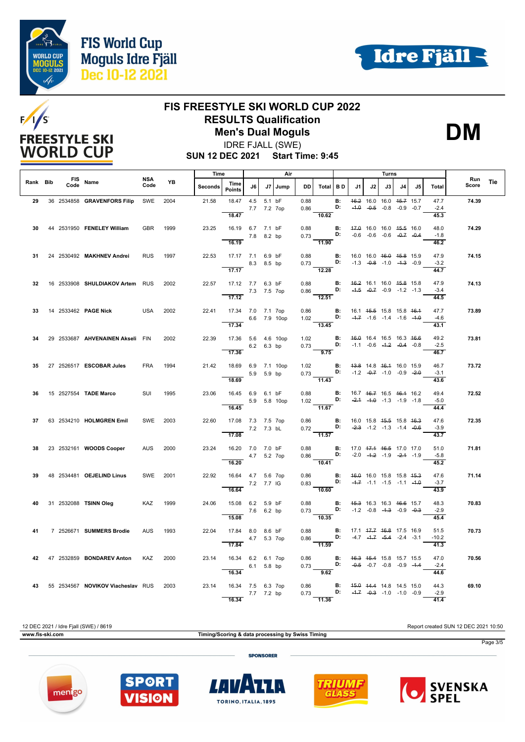





## **FIS FREESTYLE SKI WORLD CUP 2022 RESULTS Qualification**

**Men's Dual Moguls** IDRE FJALL (SWE)

**DM**

**SUN 12 DEC 2021 Start Time: 9:45**

|          |      |                                   |             |      | Time    |                                                       |            | Air                       |              |      | Turns                                                             |                                    |                                                                |    |    |                                                                |    |                         |              |     |
|----------|------|-----------------------------------|-------------|------|---------|-------------------------------------------------------|------------|---------------------------|--------------|------|-------------------------------------------------------------------|------------------------------------|----------------------------------------------------------------|----|----|----------------------------------------------------------------|----|-------------------------|--------------|-----|
| Rank Bib | Code | FIS Name                          | NSA<br>Code | YB   | Seconds | Time<br><b>Points</b>                                 | J6         |                           | J7 Jump      | DD   | Total BD                                                          |                                    | J1                                                             | J2 | J3 | 14.                                                            | J5 | Total                   | Run<br>Score | Tie |
| 29       |      | 36 2534858 GRAVENFORS Filip       | SWE         | 2004 | 21.58   | 18.47<br>18.47                                        |            | 4.5 5.1 bF<br>7.7 7.2 7op |              | 0.88 | 0.86<br>10.62                                                     | <b>B:</b><br>D:                    |                                                                |    |    | 46.2 16.0 16.0 45.7 15.7<br>$-4.0$ $-0.5$ $-0.8$ $-0.9$ $-0.7$ |    | 47.7<br>$-2.4$<br>45.3  | 74.39        |     |
| 30       |      | 44 2531950 FENELEY William        | <b>GBR</b>  | 1999 | 23.25   | 16.19 6.7 7.1 bF<br>16.19                             | 7.8 8.2 bp |                           |              | 0.88 | 11.90                                                             | <b>B:</b> 47.0 16.0 16.0 45.5 16.0 |                                                                |    |    |                                                                |    | 48.0<br>$-1.8$<br>46.2  | 74.29        |     |
| 31       |      | 24 2530492 MAKHNEV Andrei         | <b>RUS</b>  | 1997 | 22.53   | 17.17 7.1 6.9 bF<br>$\overline{17.17}$                |            | 8.3 8.5 bp                |              | 0.88 | $0.73 \frac{\text{D:}}{12.28}$                                    | B:                                 | 16.0 16.0 <del>16.0 15.8</del> 15.9                            |    |    | $-1.3$ $-0.8$ $-1.0$ $-4.3$ $-0.9$                             |    | 47.9<br>$-3.2$<br>44.7  | 74.15        |     |
| 32       |      | 16 2533908 SHULDIAKOV Artem RUS   |             | 2002 | 22.57   | 17.12 7.7 6.3 bF<br>7.3 7.5 7op<br>$\overline{17.12}$ |            |                           |              | 0.88 | $0.86$ D:<br>12.51                                                | B:                                 |                                                                |    |    | 46.2 16.1 16.0 45.8 15.8<br>$-4.5$ $-0.7$ $-0.9$ $-1.2$ $-1.3$ |    | 47.9<br>$-3.4$<br>44.5  | 74.13        |     |
| 33       |      | 14 2533462 <b>PAGE Nick</b> USA   |             | 2002 | 22.41   | 17.34 7.0 7.1 7op<br>17.34                            |            |                           | 6.6 7.9 10op | 0.86 | 1.02 <b>D:</b><br>13.45                                           | <b>B:</b>                          | 16.1 45.5 15.8 15.8 46.4                                       |    |    | $-4.7$ $-1.6$ $-1.4$ $-1.6$ $-4.0$                             |    | 47.7<br>$-4.6$<br>43.1  | 73.89        |     |
| 34       |      | 29 2533687 AHVENAINEN Akseli FIN  |             | 2002 | 22.39   | 17.36 5.6 4.6 10op<br>17.36                           |            | 6.2 6.3 bp                |              |      | 1.02 <b>B:</b><br>$0.73$ D:<br>$\overline{9.75}$                  |                                    | 46.0 16.4 16.5 16.3 46.6                                       |    |    | $-1.1$ $-0.6$ $-4.2$ $-0.4$ $-0.8$                             |    | 49.2<br>$-2.5$<br>46.7  | 73.81        |     |
| 35       |      | 27 2526517 ESCOBAR Jules          | <b>FRA</b>  | 1994 | 21.42   | 18.69 6.9 7.1 10op<br>18.69                           |            | 5.9 5.9 bp                |              | 1.02 | $0.73$ <b>D:</b> $-1.2$ $-0.7$ $-1.0$ $-0.9$ $-2.0$<br>11.43      | <b>B:</b> 43.8 14.8 46.4 16.0 15.9 |                                                                |    |    |                                                                |    | 46.7<br>$-3.1$<br>43.6  | 73.72        |     |
| 36.      |      | 15 2527554 TADE Marco             | SUI         | 1995 | 23.06   | 16.45 6.9 6.1 bF<br>16.45                             |            |                           | 5.9 5.8 10op | 0.88 | 1.02 <b>D:</b><br>11.67                                           | B:                                 | 16.7 46.7 16.5 46.4 16.2                                       |    |    | $-2.4$ $-4.0$ $-1.3$ $-1.9$ $-1.8$                             |    | 49.4<br>$-5.0$<br>44.4  | 72.52        |     |
| 37       |      | 63 2534210 HOLMGREN Emil          | SWE 2003    |      | 22.60   | 17.08 7.3 7.5 7op<br>7.2 7.3 bL<br>17.08              |            |                           |              | 0.86 | 0.72 <b>D:</b> $-2.3$ -1.2 -1.3 -1.4 $-0.6$<br>$\overline{11.57}$ | $\mathbf{B}$ :                     | 16.0 15.8 <del>15.5</del> 15.8 <del>16.3</del>                 |    |    |                                                                |    | 47.6<br>$-3.9$<br>43.7  | 72.35        |     |
| 38       |      | 23 2532161 WOODS Cooper           | AUS 2000    |      | 23.24   | 16.20 7.0 7.0 bF<br>16.20                             |            | 4.7 5.2 7op               |              |      | $0.88$ B:<br>$0.86$ D:<br>10.41                                   |                                    | 17.0 47.4 46.5 17.0 17.0<br>$-2.0$ $-4.2$ $-1.9$ $-2.4$ $-1.9$ |    |    |                                                                |    | 51.0<br>$-5.8$<br>45.2  | 71.81        |     |
| 39       |      | 48 2534481 OEJELIND Linus         | SWE 2001    |      | 22.92   | 16.64  4.7  5.6  7op<br>7.2 7.7 IG<br>16.64           |            |                           |              |      | 0.86 <b>B:</b><br>0.83 <b>D:</b><br>$-10.60$                      |                                    | 46.0 16.0 15.8 15.8 45.3                                       |    |    | $-4.7$ $-1.1$ $-1.5$ $-1.1$ $-4.0$                             |    | 47.6<br>$-3.7$<br>43.9  | 71.14        |     |
| 40       |      | 31 2532088 TSINN Oleg             | KAZ 1999    |      | 24.06   | 15.08 6.2 5.9 bF<br>15.08                             | 7.6 6.2 bp |                           |              | 0.88 | 0.73 <b>D:</b> $-1.2$ $-0.8$ $-4.3$ $-0.9$ $-0.3$<br>10.35        | <b>B:</b> 45.3 16.3 16.3 46.6 15.7 |                                                                |    |    |                                                                |    | 48.3<br>$-2.9$<br>45.4  | 70.83        |     |
| 41       |      | 7 2526671 SUMMERS Brodie          | <b>AUS</b>  | 1993 | 22.04   | 17.84 8.0 8.6 bF<br>17.84                             |            | 4.7 5.3 7op               |              | 0.88 | $0.86$ D:<br>$\frac{0.22}{11.59}$                                 | B:                                 | 17.1 47.7 46.8 17.5 16.9                                       |    |    | $-4.7$ $-4.7$ $-5.4$ $-2.4$ $-3.1$                             |    | 51.5<br>$-10.2$<br>41.3 | 70.73        |     |
| 42       |      | 47 2532859 BONDAREV Anton         | KAZ         | 2000 | 23.14   | 16.34 6.2 6.1 7op<br>16.34                            |            | 6.1 5.8 bp                |              | 0.86 | $0.73$ $D:$<br>$\overline{9.62}$                                  | B:                                 | 46.3 45.4 15.8 15.7 15.5                                       |    |    | $-0.5$ $-0.7$ $-0.8$ $-0.9$ $-4.4$                             |    | 47.0<br>$-2.4$<br>44.6  | 70.56        |     |
| 43       |      | 55 2534567 NOVIKOV Viacheslav RUS |             | 2003 | 23.14   | 16.34 7.5 6.3 7op<br>16.34                            | 7.7 7.2 bp |                           |              | 0.86 | 0.73 D: $-4.7$ $-0.3$ -1.0 -1.0 -0.9<br>11.36                     |                                    | <b>B:</b> $45.0$ $44.4$ $14.8$ $14.5$ $15.0$                   |    |    |                                                                |    | 44.3<br>$-2.9$<br>41.4  | 69.10        |     |

12 DEC 2021 / Idre Fjall (SWE) / 8619 Report created SUN 12 DEC 2021 10:50 **www.fis-ski.com Timing/Scoring & data processing by Swiss Timing** Page 3/5 **SPONSORER** 



TORINO, ITALIA, 1895

 $|I|$ 





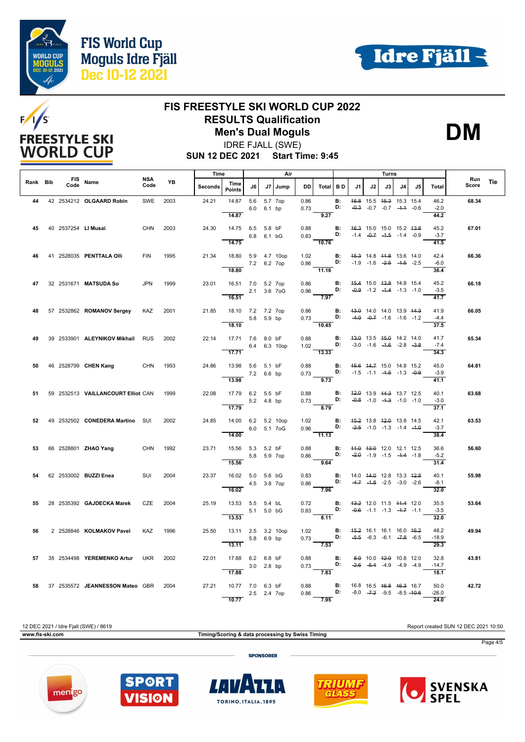





## **FIS FREESTYLE SKI WORLD CUP 2022 RESULTS Qualification**

**Men's Dual Moguls** IDRE FJALL (SWE)

**DM**

**SUN 12 DEC 2021 Start Time: 9:45**

|          |      |                                    |             |      | Time<br>Air    |                                             |             |             | Turns        |                                                              |                    |                 |    | Run |    |                                                                                       |    |                         |       |            |
|----------|------|------------------------------------|-------------|------|----------------|---------------------------------------------|-------------|-------------|--------------|--------------------------------------------------------------|--------------------|-----------------|----|-----|----|---------------------------------------------------------------------------------------|----|-------------------------|-------|------------|
| Rank Bib | Code | FIS Name                           | NSA<br>Code | YB   | <b>Seconds</b> | Time<br><b>Points</b>                       | J6          |             | J7   Jump    | <b>DD</b>                                                    | Total              | I B D           | J1 | J2  | J3 | J4                                                                                    | J5 | Total                   | Score | <b>Tie</b> |
| 44       |      | 42 2534212 OLGAARD Robin           | SWE         | 2003 | 24.21          | 14.87<br>14.87                              |             | 6.0 6.1 bp  | 5.6 5.7 7op  | 0.86<br>0.73                                                 | 9.27               | <b>B:</b><br>D: |    |     |    | 46.8 15.5 45.3 15.3 15.4<br>$-0.3$ $-0.7$ $-0.7$ $-4.4$ $-0.6$                        |    | 46.2<br>$-2.0$<br>44.2  | 68.34 |            |
| 45       |      | 40 2537254 LI Musai                | <b>CHN</b>  | 2003 | 24.30          | 14.75 6.5 5.8 bF<br>14.75                   |             | 6.8 6.1 bG  |              | 0.88<br>0.83 <b>D:</b> $-1.4$ $-0.7$ $-1.5$ $-1.4$ $-0.9$    | $-10.76$           |                 |    |     |    | <b>B:</b> 46.3 15.0 15.0 15.2 43.8                                                    |    | 45.2<br>$-3.7$<br>41.5  | 67.01 |            |
| 46       |      | 41 2528035 PENTTALA OIII           | <b>FIN</b>  | 1995 | 21.34          | 18.80 5.9 4.7 10op<br>18.80                 | 7.2 6.2 7op |             |              | 1.02<br>$0.86$ D:                                            | 11.16              | B:              |    |     |    | 45.3 14.8 44.8 13.6 14.0<br>$-1.9$ $-1.6$ $-2.5$ $-4.5$ $-2.5$                        |    | 42.4<br>$-6.0$<br>36.4  | 66.36 |            |
| 47       |      | 32 2531671 MATSUDA So              | <b>JPN</b>  | 1999 | 23.01          | 16.51 7.0 5.2 7op<br>2.1 3.6 7oG<br>16.51   |             |             |              | 0.86<br>$0.96$ D:                                            | 7.97               | <b>B:</b>       |    |     |    | 45.4 15.0 43.8 14.8 15.4<br>$-0.9$ $-1.2$ $-4.4$ $-1.3$ $-1.0$                        |    | 45.2<br>$-3.5$<br>41.7  | 66.18 |            |
| 48       |      | 57 2532862 ROMANOV Sergey          | KAZ         | 2001 | 21.85          | 18.10 7.2 7.2 7op<br>18.10                  | 5.8 5.9 bp  |             |              | 0.86<br>$0.73$ D:                                            | 10.45              | B:              |    |     |    | 43.0 14.0 14.0 13.9 44.3<br>$-4.0$ $-0.7$ $-1.6$ $-1.6$ $-1.2$                        |    | 41.9<br>$-4.4$<br>37.5  | 66.05 |            |
| 49       |      | 39 2533901 ALEYNIKOV Mikhail RUS   |             | 2002 | 22.14          | 17.71 7.6 8.0 bF<br>17.71                   |             |             | 6.4 6.3 10op | 0.88 <b>B:</b><br>1.02 <b>D:</b>                             | $\overline{13.33}$ |                 |    |     |    | 43.0 13.5 45.0 14.2 14.0<br>$-3.0$ $-1.6$ $-4.6$ $-2.8$ $-3.8$                        |    | 41.7<br>$-7.4$<br>34.3  | 65.34 |            |
| 50       |      | 46 2528799 CHEN Kang CHN           |             | 1993 | 24.86          | 13.98 5.6 5.1 bF<br>13.98                   | 7.2 6.6 bp  |             |              | 0.88<br>0.73 <b>D:</b> $-1.5$ $-1.1$ $-4.5$ $-1.3$ $-0.9$    | 9.73               | $\blacksquare$  |    |     |    | 45.6 44.7 15.0 14.8 15.2                                                              |    | 45.0<br>$-3.9$<br>41.1  | 64.81 |            |
| 51       |      | 59 2532513 VAILLANCOURT Elliot CAN |             | 1999 | 22.08          | 17.79 6.2 5.5 bF<br>17.79                   | 5.2 4.8 bp  |             |              | $0.88$ B:<br>0.73 D:                                         | $\overline{8.79}$  |                 |    |     |    | 42.0 13.9 44.3 13.7 12.5<br>$-0.8$ $-1.0$ $-4.3$ $-1.0$ $-1.0$                        |    | 40.1<br>$-3.0$<br>37.1  | 63.68 |            |
| 52       |      | 49 2532502 CONEDERA Martino SUI    |             | 2002 | 24.85          | 14.00 6.2 5.2 10op<br>6.0 5.1 7oG<br>14.00  |             |             |              | 1.02<br>0.96 <b>D:</b> $-2.5$ -1.0 -1.3 -1.4 -1.0            | $\frac{1}{11.13}$  | B:              |    |     |    | 45.2 13.8 42.0 13.8 14.5                                                              |    | 42.1<br>$-3.7$<br>38.4  | 63.53 |            |
| 53.      |      | 66 2528801 <b>ZHAO Yang</b>        | <b>CHN</b>  | 1992 | 23.71          | 15.56 5.3 5.2 bF<br>15.56                   |             | 5.8 5.9 7op |              | 0.88<br>0.86 D: $\frac{100 - 12.0}{2.0}$ -1.9 -1.5 -1.4 -1.8 |                    |                 |    |     |    | <b>B:</b> 44.0 43.0 12.0 12.1 12.5                                                    |    | 36.6<br>$-5.2$<br>31.4  | 56.60 |            |
| 54       |      | 62 2533002 BUZZI Enea              | SUI         | 2004 | 23.37          | 16.02 5.0 5.6 bG<br>16.02                   | 4.5 3.8 7op |             |              | 0.83 <b>B:</b><br>0.86 <b>D:</b><br>0.86                     | $\overline{7.96}$  |                 |    |     |    | 14.0 44.0 12.8 13.3 42.8<br>$-4.7$ $-1.8$ $-2.5$ $-3.0$ $-2.6$                        |    | 40.1<br>$-8.1$<br>32.0  | 55.98 |            |
| 55       |      | 28 2535392 GAJDECKA Marek          | CZE         | 2004 | 25.19          | 13.53 5.5 5.4 bL<br>$-$ 5.1 5.0 bG<br>13.53 |             |             |              | 0.72<br>$0.83$ <b>D:</b> $-0.6$ -1.1 -1.3 -4.7 -1.1          | 8.11               |                 |    |     |    | <b>B:</b> 43.2 12.0 11.5 44.4 12.0                                                    |    | 35.5<br>$-3.5$<br>32.0  | 53.64 |            |
| 56       |      | 2 2528846 KOLMAKOV Pavel           | KAZ         | 1996 | 25.50          | 13.11 2.5 3.2 10op<br>13.11                 | 5.8 6.9 bp  |             |              | 1.02<br>$0.73$ D:                                            | 7.53               | <b>B:</b>       |    |     |    | 45.2 16.1 16.1 16.0 46.2<br>$-5.5$ $-6.3$ $-6.1$ $-7.8$ $-6.5$                        |    | 48.2<br>$-18.9$<br>29.3 | 49.94 |            |
| 57       |      | 35 2534498 YEREMENKO Artur         | <b>UKR</b>  | 2002 | 22.01          | 17.88 6.2 6.8 bF<br>17.88                   | 3.0 2.8 bp  |             |              | 0.88<br>$0.73$ D:                                            | 7.83               | B:              |    |     |    | 8.0 10.0 42.0 10.8 12.0<br>$-2.6$ $-5.4$ $-4.9$ $-4.9$ $-4.9$                         |    | 32.8<br>$-14.7$<br>18.1 | 43.81 |            |
| 58       |      | 37 2535572 JEANNESSON Mateo GBR    |             | 2004 | 27.21          | 10.77 7.0 6.3 bF<br>10.77                   | 2.5 2.4 7op |             |              | 0.88<br>0.86                                                 | D:<br>7.95         | B:              |    |     |    | 16.8 16.5 <del>16.8</del> <del>16.3</del> 16.7<br>$-8.0$ $-7.2$ $-9.5$ $-8.5$ $-40.6$ |    | 50.0<br>$-26.0$<br>24.0 | 42.72 |            |

12 DEC 2021 / Idre Fjall (SWE) / 8619 Report created SUN 12 DEC 2021 10:50 **www.fis-ski.com Timing/Scoring & data processing by Swiss Timing** Page 4/5 **SPONSORER**